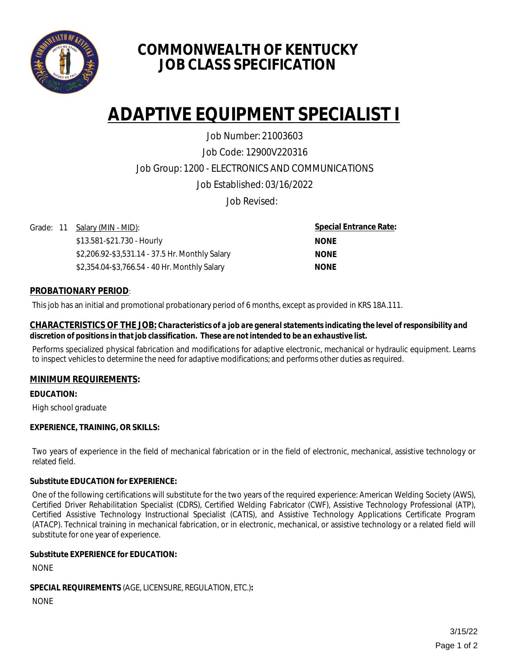

# **COMMONWEALTH OF KENTUCKY JOB CLASS SPECIFICATION**

# **ADAPTIVE EQUIPMENT SPECIALIST I**

Job Code: 12900V220316 Job Group: 1200 - ELECTRONICS AND COMMUNICATIONS Job Established: 03/16/2022 Job Number: 21003603

Job Revised:

Grade: 11 Salary (MIN - MID):

\$13.581-\$21.730 - Hourly \$2,206.92-\$3,531.14 - 37.5 Hr. Monthly Salary \$2,354.04-\$3,766.54 - 40 Hr. Monthly Salary

**Special Entrance Rate: NONE NONE NONE**

## **PROBATIONARY PERIOD**:

This job has an initial and promotional probationary period of 6 months, except as provided in KRS 18A.111.

#### **CHARACTERISTICS OF THE JOB:** *Characteristics of a job are general statements indicating the level of responsibility and discretion of positions in that job classification. These are not intended to be an exhaustive list.*

Performs specialized physical fabrication and modifications for adaptive electronic, mechanical or hydraulic equipment. Learns to inspect vehicles to determine the need for adaptive modifications; and performs other duties as required.

### **MINIMUM REQUIREMENTS:**

**EDUCATION:** 

High school graduate

### **EXPERIENCE, TRAINING, OR SKILLS:**

Two years of experience in the field of mechanical fabrication or in the field of electronic, mechanical, assistive technology or related field.

### **Substitute EDUCATION for EXPERIENCE:**

One of the following certifications will substitute for the two years of the required experience: American Welding Society (AWS), Certified Driver Rehabilitation Specialist (CDRS), Certified Welding Fabricator (CWF), Assistive Technology Professional (ATP), Certified Assistive Technology Instructional Specialist (CATIS), and Assistive Technology Applications Certificate Program (ATACP). Technical training in mechanical fabrication, or in electronic, mechanical, or assistive technology or a related field will substitute for one year of experience.

### **Substitute EXPERIENCE for EDUCATION:**

NONE

**SPECIAL REQUIREMENTS** (AGE, LICENSURE, REGULATION, ETC.)**:** 

NONE